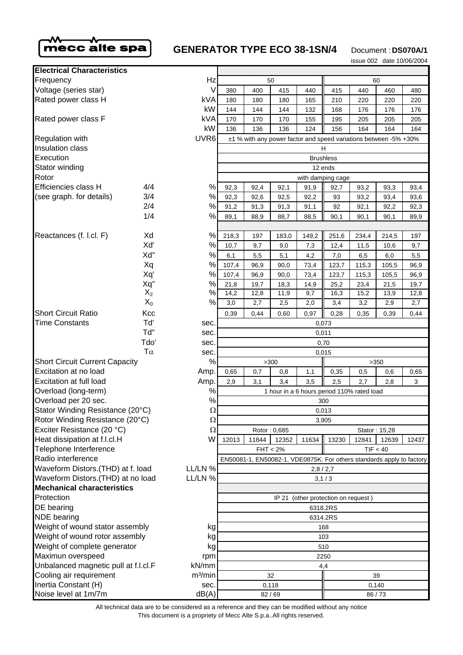

# **GENERATOR TYPE ECO 38-1SN/4** Document : **DS070A/1**

issue 002 date 10/06/2004

| <b>Electrical Characteristics</b>                                                  |       |                                                                  |                                                                       |                |              |            |             |               |               |            |
|------------------------------------------------------------------------------------|-------|------------------------------------------------------------------|-----------------------------------------------------------------------|----------------|--------------|------------|-------------|---------------|---------------|------------|
| Frequency                                                                          |       | Hz                                                               | 50                                                                    |                |              |            | 60          |               |               |            |
| Voltage (series star)                                                              |       | V                                                                | 380                                                                   | 400            | 415          | 440        | 415         | 440           | 460           | 480        |
| Rated power class H                                                                |       | kVA                                                              | 180                                                                   | 180            | 180          | 165        | 210         | 220           | 220           | 220        |
|                                                                                    |       | kW                                                               | 144                                                                   | 144            | 144          | 132        | 168         | 176           | 176           | 176        |
| Rated power class F                                                                |       | kVA                                                              | 170                                                                   | 170            | 170          | 155        | 195         | 205           | 205           | 205        |
|                                                                                    |       | kW                                                               | 136                                                                   | 136            | 136          | 124        | 156         | 164           | 164           | 164        |
| UVR6<br><b>Regulation with</b>                                                     |       | ±1 % with any power factor and speed variations between -5% +30% |                                                                       |                |              |            |             |               |               |            |
| Insulation class                                                                   |       | н                                                                |                                                                       |                |              |            |             |               |               |            |
| Execution                                                                          |       |                                                                  | <b>Brushless</b>                                                      |                |              |            |             |               |               |            |
| Stator winding                                                                     |       |                                                                  | 12 ends                                                               |                |              |            |             |               |               |            |
| Rotor                                                                              |       |                                                                  | with damping cage                                                     |                |              |            |             |               |               |            |
| Efficiencies class H                                                               | 4/4   | $\%$                                                             | 92,3                                                                  | 92,4           | 92,1         | 91,9       | 92,7        | 93,2          | 93,3          | 93,4       |
| (see graph. for details)                                                           | 3/4   | $\%$                                                             | 92,3                                                                  | 92,6           | 92,5         | 92,2       | 93          | 93,2          | 93,4          | 93,6       |
|                                                                                    | 2/4   | $\%$                                                             | 91,2                                                                  | 91,3           | 91,3         | 91,1       | 92          | 92,1          | 92,2          | 92,3       |
|                                                                                    | 1/4   | $\%$                                                             | 89,1                                                                  | 88,9           | 88,7         | 88,5       | 90,1        | 90,1          | 90,1          | 89,9       |
| Reactances (f. l.cl. F)                                                            | Xd    | %                                                                | 218,3                                                                 |                |              |            |             |               |               |            |
|                                                                                    | Xď    | $\%$                                                             | 10,7                                                                  | 197<br>9,7     | 183,0<br>9,0 | 149,2      | 251,6       | 234,4<br>11,5 | 214,5<br>10,6 | 197        |
|                                                                                    | Xd"   | $\%$                                                             | 6,1                                                                   | 5,5            | 5,1          | 7,3<br>4,2 | 12,4<br>7,0 | 6,5           | 6,0           | 9,7<br>5,5 |
|                                                                                    | Xq    | $\%$                                                             | 107,4                                                                 | 96,9           | 90,0         | 73,4       | 123,7       | 115,3         | 105,5         | 96,9       |
|                                                                                    | Xq'   | $\%$                                                             | 107,4                                                                 | 96,9           | 90,0         | 73,4       | 123,7       | 115,3         | 105,5         | 96,9       |
|                                                                                    | Xq"   | $\%$                                                             | 21,8                                                                  | 19,7           | 18,3         | 14,9       | 25,2        | 23,4          | 21,5          | 19,7       |
|                                                                                    | $X_2$ | $\%$                                                             | 14,2                                                                  | 12,8           | 11,9         | 9,7        | 16,3        | 15,2          | 13,9          | 12,8       |
|                                                                                    | $X_0$ | $\%$                                                             | 3,0                                                                   | 2,7            | 2,5          | 2,0        | 3,4         | 3,2           | 2,9           | 2,7        |
| <b>Short Circuit Ratio</b>                                                         | Kcc   |                                                                  | 0,39                                                                  | 0,44           | 0,60         | 0,97       | 0,28        | 0,35          | 0,39          | 0,44       |
| <b>Time Constants</b>                                                              | Tď    | sec.                                                             | 0,073                                                                 |                |              |            |             |               |               |            |
|                                                                                    | Td"   | sec.                                                             | 0,011                                                                 |                |              |            |             |               |               |            |
|                                                                                    | Tdo'  | sec.                                                             | 0,70                                                                  |                |              |            |             |               |               |            |
| $T\alpha$                                                                          |       | sec.                                                             | 0,015                                                                 |                |              |            |             |               |               |            |
| <b>Short Circuit Current Capacity</b>                                              |       | $\%$                                                             | >300<br>>350                                                          |                |              |            |             |               |               |            |
| Excitation at no load                                                              |       | Amp.                                                             | 0,65                                                                  | 0,7            | 0,8          | 1,1        | 0,35        | 0,5           | 0,6           | 0,65       |
| Excitation at full load                                                            |       | Amp.                                                             | 2,9                                                                   | 3,1            | 3,4          | 3,5        | 2,5         | 2,7           | 2,8           | 3          |
| Overload (long-term)                                                               |       | $\%$                                                             | 1 hour in a 6 hours period 110% rated load                            |                |              |            |             |               |               |            |
| Overload per 20 sec.                                                               |       | $\%$                                                             | 300                                                                   |                |              |            |             |               |               |            |
| Stator Winding Resistance (20°C)                                                   |       | Ω                                                                | 0,013                                                                 |                |              |            |             |               |               |            |
| Rotor Winding Resistance (20°C)                                                    |       | $\Omega$                                                         | 3,905                                                                 |                |              |            |             |               |               |            |
| Exciter Resistance (20 °C)                                                         |       | Ω                                                                | Rotor: 0,685<br>Stator: 15,28                                         |                |              |            |             |               |               |            |
| Heat dissipation at f.l.cl.H                                                       |       | W                                                                | 12013<br>11844<br>12352<br>11634                                      |                |              |            | 13230       | 12841         | 12639         | 12437      |
| Telephone Interference                                                             |       |                                                                  | $FHT < 2\%$<br>TIF < 40                                               |                |              |            |             |               |               |            |
| Radio interference                                                                 |       |                                                                  | EN50081-1, EN50082-1, VDE0875K. For others standards apply to factory |                |              |            |             |               |               |            |
| Waveform Distors. (THD) at f. load<br>LL/LN %                                      |       | 2,8/2,7                                                          |                                                                       |                |              |            |             |               |               |            |
| Waveform Distors. (THD) at no load<br>LL/LN %<br><b>Mechanical characteristics</b> |       | 3,1/3                                                            |                                                                       |                |              |            |             |               |               |            |
| Protection                                                                         |       | IP 21<br>(other protection on request)                           |                                                                       |                |              |            |             |               |               |            |
| DE bearing                                                                         |       | 6318.2RS                                                         |                                                                       |                |              |            |             |               |               |            |
| <b>NDE</b> bearing                                                                 |       | 6314.2RS                                                         |                                                                       |                |              |            |             |               |               |            |
| Weight of wound stator assembly<br>kg                                              |       | 168                                                              |                                                                       |                |              |            |             |               |               |            |
| Weight of wound rotor assembly<br>kg                                               |       | 103                                                              |                                                                       |                |              |            |             |               |               |            |
| Weight of complete generator<br>kg                                                 |       | 510                                                              |                                                                       |                |              |            |             |               |               |            |
| Maximun overspeed<br>rpm                                                           |       | 2250                                                             |                                                                       |                |              |            |             |               |               |            |
| Unbalanced magnetic pull at f.l.cl.F<br>kN/mm                                      |       | 4,4                                                              |                                                                       |                |              |            |             |               |               |            |
| Cooling air requirement                                                            |       | m <sup>3</sup> /min                                              | 32<br>39                                                              |                |              |            |             |               |               |            |
| Inertia Constant (H)                                                               |       | sec.                                                             |                                                                       | 0,140<br>0,118 |              |            |             |               |               |            |
| Noise level at 1m/7m                                                               |       | dB(A)                                                            | 82/69                                                                 |                |              |            | 86/73       |               |               |            |

This document is a propriety of Mecc Alte S.p.a..All rights reserved. All technical data are to be considered as a reference and they can be modified without any notice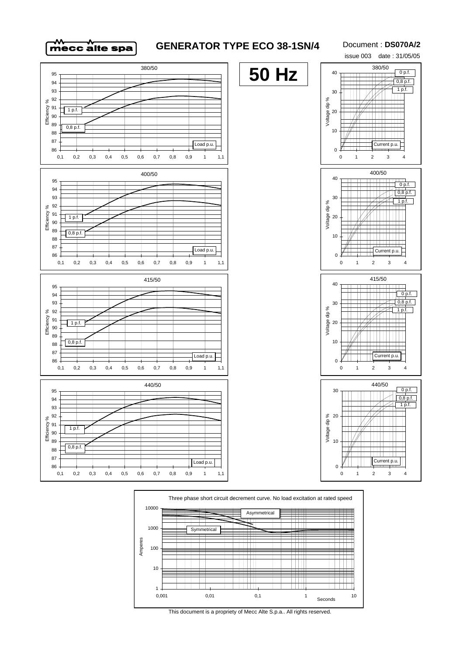

# **GENERATOR TYPE ECO 38-1SN/4**

### Document : **DS070A/2**







This document is a propriety of Mecc Alte S.p.a.. All rights reserved.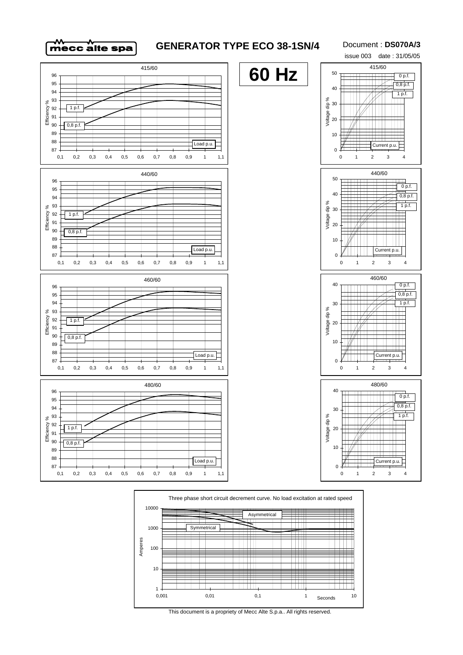

## **GENERATOR TYPE ECO 38-1SN/4**

#### Document : **DS070A/3**







This document is a propriety of Mecc Alte S.p.a.. All rights reserved.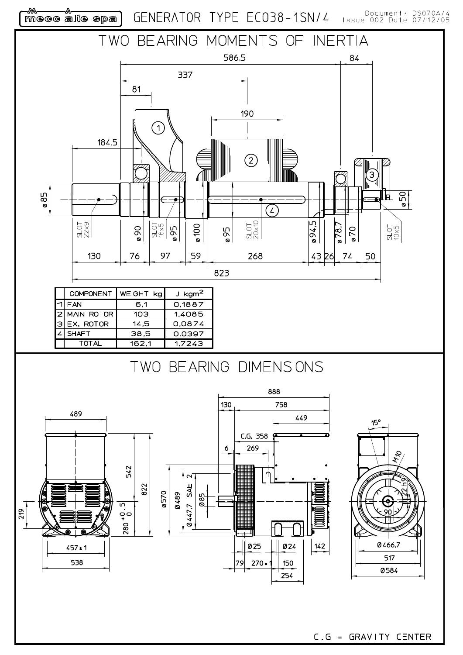